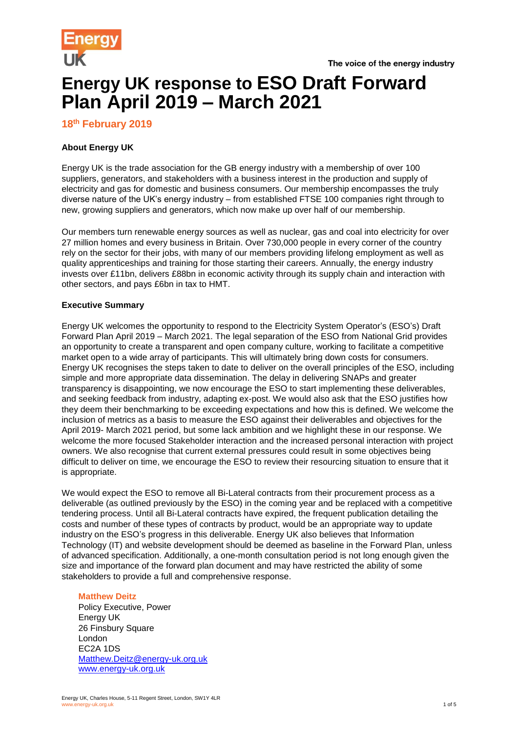

# **Energy UK response to ESO Draft Forward Plan April 2019 – March 2021**

# **18 th February 2019**

# **About Energy UK**

Energy UK is the trade association for the GB energy industry with a membership of over 100 suppliers, generators, and stakeholders with a business interest in the production and supply of electricity and gas for domestic and business consumers. Our membership encompasses the truly diverse nature of the UK's energy industry – from established FTSE 100 companies right through to new, growing suppliers and generators, which now make up over half of our membership.

Our members turn renewable energy sources as well as nuclear, gas and coal into electricity for over 27 million homes and every business in Britain. Over 730,000 people in every corner of the country rely on the sector for their jobs, with many of our members providing lifelong employment as well as quality apprenticeships and training for those starting their careers. Annually, the energy industry invests over £11bn, delivers £88bn in economic activity through its supply chain and interaction with other sectors, and pays £6bn in tax to HMT.

# **Executive Summary**

Energy UK welcomes the opportunity to respond to the Electricity System Operator's (ESO's) Draft Forward Plan April 2019 – March 2021. The legal separation of the ESO from National Grid provides an opportunity to create a transparent and open company culture, working to facilitate a competitive market open to a wide array of participants. This will ultimately bring down costs for consumers. Energy UK recognises the steps taken to date to deliver on the overall principles of the ESO, including simple and more appropriate data dissemination. The delay in delivering SNAPs and greater transparency is disappointing, we now encourage the ESO to start implementing these deliverables, and seeking feedback from industry, adapting ex-post. We would also ask that the ESO justifies how they deem their benchmarking to be exceeding expectations and how this is defined. We welcome the inclusion of metrics as a basis to measure the ESO against their deliverables and objectives for the April 2019- March 2021 period, but some lack ambition and we highlight these in our response. We welcome the more focused Stakeholder interaction and the increased personal interaction with project owners. We also recognise that current external pressures could result in some objectives being difficult to deliver on time, we encourage the ESO to review their resourcing situation to ensure that it is appropriate.

We would expect the ESO to remove all Bi-Lateral contracts from their procurement process as a deliverable (as outlined previously by the ESO) in the coming year and be replaced with a competitive tendering process. Until all Bi-Lateral contracts have expired, the frequent publication detailing the costs and number of these types of contracts by product, would be an appropriate way to update industry on the ESO's progress in this deliverable. Energy UK also believes that Information Technology (IT) and website development should be deemed as baseline in the Forward Plan, unless of advanced specification. Additionally, a one-month consultation period is not long enough given the size and importance of the forward plan document and may have restricted the ability of some stakeholders to provide a full and comprehensive response.

# **Matthew Deitz**

Policy Executive, Power Energy UK 26 Finsbury Square London EC2A 1DS [Matthew.Deitz@energy-uk.org.uk](mailto:Matthew.Deitz@energy-uk.org.uk) [www.energy-uk.org.uk](http://www.energy-uk.org.uk/)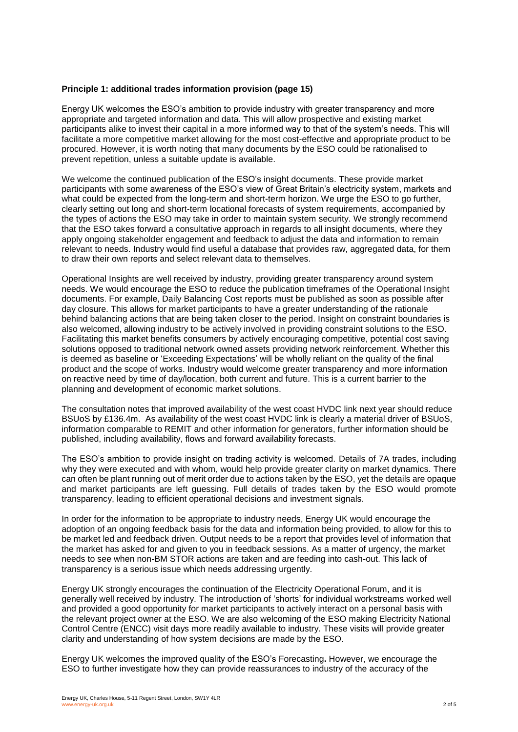# **Principle 1: additional trades information provision (page 15)**

Energy UK welcomes the ESO's ambition to provide industry with greater transparency and more appropriate and targeted information and data. This will allow prospective and existing market participants alike to invest their capital in a more informed way to that of the system's needs. This will facilitate a more competitive market allowing for the most cost-effective and appropriate product to be procured. However, it is worth noting that many documents by the ESO could be rationalised to prevent repetition, unless a suitable update is available.

We welcome the continued publication of the ESO's insight documents. These provide market participants with some awareness of the ESO's view of Great Britain's electricity system, markets and what could be expected from the long-term and short-term horizon. We urge the ESO to go further, clearly setting out long and short-term locational forecasts of system requirements, accompanied by the types of actions the ESO may take in order to maintain system security. We strongly recommend that the ESO takes forward a consultative approach in regards to all insight documents, where they apply ongoing stakeholder engagement and feedback to adjust the data and information to remain relevant to needs. Industry would find useful a database that provides raw, aggregated data, for them to draw their own reports and select relevant data to themselves.

Operational Insights are well received by industry, providing greater transparency around system needs. We would encourage the ESO to reduce the publication timeframes of the Operational Insight documents. For example, Daily Balancing Cost reports must be published as soon as possible after day closure. This allows for market participants to have a greater understanding of the rationale behind balancing actions that are being taken closer to the period. Insight on constraint boundaries is also welcomed, allowing industry to be actively involved in providing constraint solutions to the ESO. Facilitating this market benefits consumers by actively encouraging competitive, potential cost saving solutions opposed to traditional network owned assets providing network reinforcement. Whether this is deemed as baseline or 'Exceeding Expectations' will be wholly reliant on the quality of the final product and the scope of works. Industry would welcome greater transparency and more information on reactive need by time of day/location, both current and future. This is a current barrier to the planning and development of economic market solutions.

The consultation notes that improved availability of the west coast HVDC link next year should reduce BSUoS by £136.4m. As availability of the west coast HVDC link is clearly a material driver of BSUoS, information comparable to REMIT and other information for generators, further information should be published, including availability, flows and forward availability forecasts.

The ESO's ambition to provide insight on trading activity is welcomed. Details of 7A trades, including why they were executed and with whom, would help provide greater clarity on market dynamics. There can often be plant running out of merit order due to actions taken by the ESO, yet the details are opaque and market participants are left guessing. Full details of trades taken by the ESO would promote transparency, leading to efficient operational decisions and investment signals.

In order for the information to be appropriate to industry needs, Energy UK would encourage the adoption of an ongoing feedback basis for the data and information being provided, to allow for this to be market led and feedback driven. Output needs to be a report that provides level of information that the market has asked for and given to you in feedback sessions. As a matter of urgency, the market needs to see when non-BM STOR actions are taken and are feeding into cash-out. This lack of transparency is a serious issue which needs addressing urgently.

Energy UK strongly encourages the continuation of the Electricity Operational Forum, and it is generally well received by industry. The introduction of 'shorts' for individual workstreams worked well and provided a good opportunity for market participants to actively interact on a personal basis with the relevant project owner at the ESO. We are also welcoming of the ESO making Electricity National Control Centre (ENCC) visit days more readily available to industry. These visits will provide greater clarity and understanding of how system decisions are made by the ESO.

Energy UK welcomes the improved quality of the ESO's Forecasting**.** However, we encourage the ESO to further investigate how they can provide reassurances to industry of the accuracy of the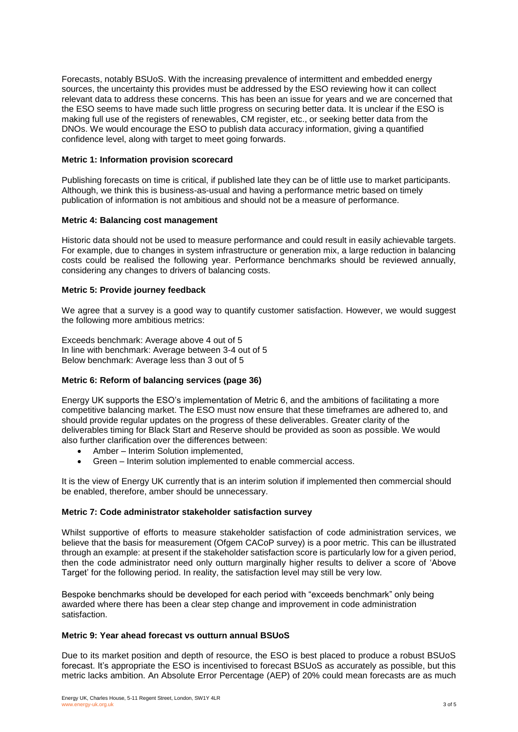Forecasts, notably BSUoS. With the increasing prevalence of intermittent and embedded energy sources, the uncertainty this provides must be addressed by the ESO reviewing how it can collect relevant data to address these concerns. This has been an issue for years and we are concerned that the ESO seems to have made such little progress on securing better data. It is unclear if the ESO is making full use of the registers of renewables, CM register, etc., or seeking better data from the DNOs. We would encourage the ESO to publish data accuracy information, giving a quantified confidence level, along with target to meet going forwards.

# **Metric 1: Information provision scorecard**

Publishing forecasts on time is critical, if published late they can be of little use to market participants. Although, we think this is business-as-usual and having a performance metric based on timely publication of information is not ambitious and should not be a measure of performance.

# **Metric 4: Balancing cost management**

Historic data should not be used to measure performance and could result in easily achievable targets. For example, due to changes in system infrastructure or generation mix, a large reduction in balancing costs could be realised the following year. Performance benchmarks should be reviewed annually, considering any changes to drivers of balancing costs.

# **Metric 5: Provide journey feedback**

We agree that a survey is a good way to quantify customer satisfaction. However, we would suggest the following more ambitious metrics:

Exceeds benchmark: Average above 4 out of 5 In line with benchmark: Average between 3-4 out of 5 Below benchmark: Average less than 3 out of 5

# **Metric 6: Reform of balancing services (page 36)**

Energy UK supports the ESO's implementation of Metric 6, and the ambitions of facilitating a more competitive balancing market. The ESO must now ensure that these timeframes are adhered to, and should provide regular updates on the progress of these deliverables. Greater clarity of the deliverables timing for Black Start and Reserve should be provided as soon as possible. We would also further clarification over the differences between:

- Amber Interim Solution implemented,
- Green Interim solution implemented to enable commercial access.

It is the view of Energy UK currently that is an interim solution if implemented then commercial should be enabled, therefore, amber should be unnecessary.

#### **Metric 7: Code administrator stakeholder satisfaction survey**

Whilst supportive of efforts to measure stakeholder satisfaction of code administration services, we believe that the basis for measurement (Ofgem CACoP survey) is a poor metric. This can be illustrated through an example: at present if the stakeholder satisfaction score is particularly low for a given period, then the code administrator need only outturn marginally higher results to deliver a score of 'Above Target' for the following period. In reality, the satisfaction level may still be very low.

Bespoke benchmarks should be developed for each period with "exceeds benchmark" only being awarded where there has been a clear step change and improvement in code administration satisfaction.

# **Metric 9: Year ahead forecast vs outturn annual BSUoS**

Due to its market position and depth of resource, the ESO is best placed to produce a robust BSUoS forecast. It's appropriate the ESO is incentivised to forecast BSUoS as accurately as possible, but this metric lacks ambition. An Absolute Error Percentage (AEP) of 20% could mean forecasts are as much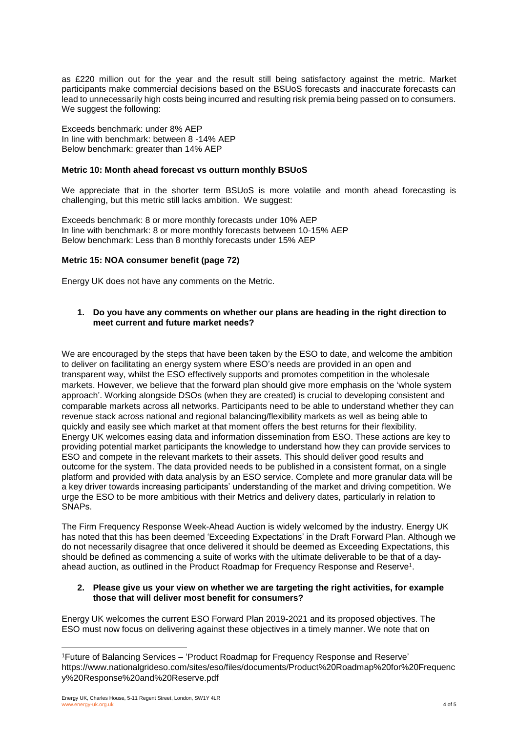as £220 million out for the year and the result still being satisfactory against the metric. Market participants make commercial decisions based on the BSUoS forecasts and inaccurate forecasts can lead to unnecessarily high costs being incurred and resulting risk premia being passed on to consumers. We suggest the following:

Exceeds benchmark: under 8% AEP In line with benchmark: between 8 -14% AEP Below benchmark: greater than 14% AEP

# **Metric 10: Month ahead forecast vs outturn monthly BSUoS**

We appreciate that in the shorter term BSUoS is more volatile and month ahead forecasting is challenging, but this metric still lacks ambition. We suggest:

Exceeds benchmark: 8 or more monthly forecasts under 10% AEP In line with benchmark: 8 or more monthly forecasts between 10-15% AEP Below benchmark: Less than 8 monthly forecasts under 15% AEP

# **Metric 15: NOA consumer benefit (page 72)**

Energy UK does not have any comments on the Metric.

# **1. Do you have any comments on whether our plans are heading in the right direction to meet current and future market needs?**

We are encouraged by the steps that have been taken by the ESO to date, and welcome the ambition to deliver on facilitating an energy system where ESO's needs are provided in an open and transparent way, whilst the ESO effectively supports and promotes competition in the wholesale markets. However, we believe that the forward plan should give more emphasis on the 'whole system approach'. Working alongside DSOs (when they are created) is crucial to developing consistent and comparable markets across all networks. Participants need to be able to understand whether they can revenue stack across national and regional balancing/flexibility markets as well as being able to quickly and easily see which market at that moment offers the best returns for their flexibility. Energy UK welcomes easing data and information dissemination from ESO. These actions are key to providing potential market participants the knowledge to understand how they can provide services to ESO and compete in the relevant markets to their assets. This should deliver good results and outcome for the system. The data provided needs to be published in a consistent format, on a single platform and provided with data analysis by an ESO service. Complete and more granular data will be a key driver towards increasing participants' understanding of the market and driving competition. We urge the ESO to be more ambitious with their Metrics and delivery dates, particularly in relation to SNAPs.

The Firm Frequency Response Week-Ahead Auction is widely welcomed by the industry. Energy UK has noted that this has been deemed 'Exceeding Expectations' in the Draft Forward Plan. Although we do not necessarily disagree that once delivered it should be deemed as Exceeding Expectations, this should be defined as commencing a suite of works with the ultimate deliverable to be that of a dayahead auction, as outlined in the Product Roadmap for Frequency Response and Reserve $^{\text{1}}$ .

# **2. Please give us your view on whether we are targeting the right activities, for example those that will deliver most benefit for consumers?**

Energy UK welcomes the current ESO Forward Plan 2019-2021 and its proposed objectives. The ESO must now focus on delivering against these objectives in a timely manner. We note that on

l

<sup>1</sup>Future of Balancing Services – 'Product Roadmap for Frequency Response and Reserve' https://www.nationalgrideso.com/sites/eso/files/documents/Product%20Roadmap%20for%20Frequenc y%20Response%20and%20Reserve.pdf